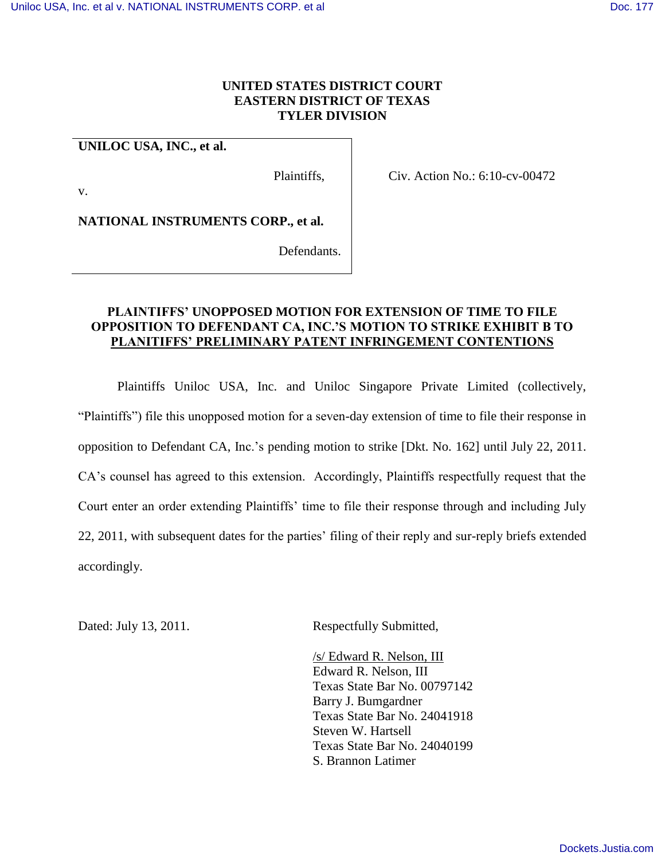## **UNITED STATES DISTRICT COURT EASTERN DISTRICT OF TEXAS TYLER DIVISION**

### **UNILOC USA, INC., et al.**

v.

Plaintiffs,

Civ. Action No.: 6:10-cv-00472

**NATIONAL INSTRUMENTS CORP., et al.**

Defendants.

# **PLAINTIFFS' UNOPPOSED MOTION FOR EXTENSION OF TIME TO FILE OPPOSITION TO DEFENDANT CA, INC.'S MOTION TO STRIKE EXHIBIT B TO PLANITIFFS' PRELIMINARY PATENT INFRINGEMENT CONTENTIONS**

Plaintiffs Uniloc USA, Inc. and Uniloc Singapore Private Limited (collectively, "Plaintiffs") file this unopposed motion for a seven-day extension of time to file their response in opposition to Defendant CA, Inc.'s pending motion to strike [Dkt. No. 162] until July 22, 2011. CA's counsel has agreed to this extension. Accordingly, Plaintiffs respectfully request that the Court enter an order extending Plaintiffs' time to file their response through and including July 22, 2011, with subsequent dates for the parties' filing of their reply and sur-reply briefs extended accordingly.

Dated: July 13, 2011. Respectfully Submitted,

/s/ Edward R. Nelson, III Edward R. Nelson, III Texas State Bar No. 00797142 Barry J. Bumgardner Texas State Bar No. 24041918 Steven W. Hartsell Texas State Bar No. 24040199 S. Brannon Latimer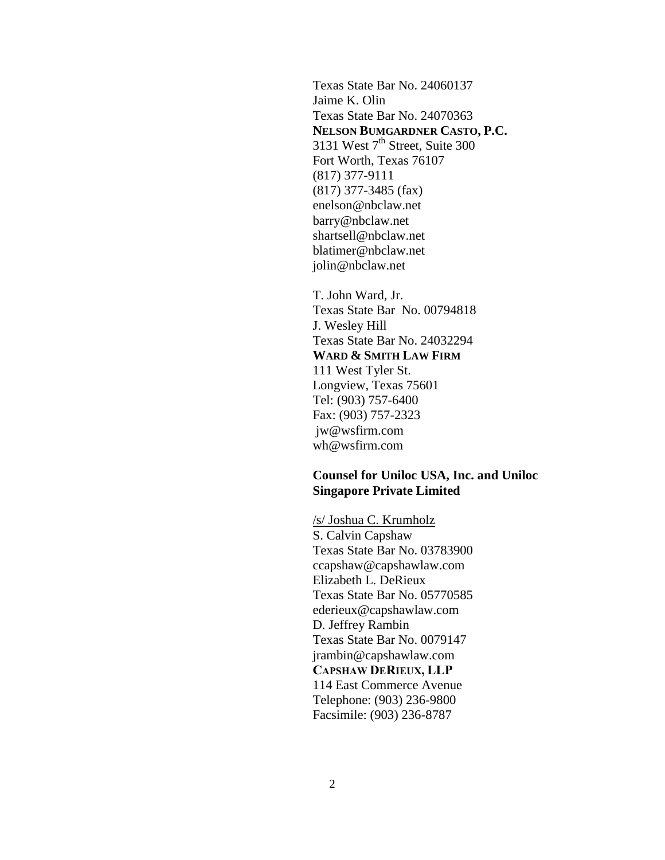Texas State Bar No. 24060137 Jaime K. Olin Texas State Bar No. 24070363 **NELSON BUMGARDNER CASTO, P.C.** 3131 West 7<sup>th</sup> Street, Suite 300 Fort Worth, Texas 76107 (817) 377-9111 (817) 377-3485 (fax) enelson@nbclaw.net barry@nbclaw.net shartsell@nbclaw.net blatimer@nbclaw.net jolin@nbclaw.net

T. John Ward, Jr. Texas State Bar No. 00794818 J. Wesley Hill Texas State Bar No. 24032294 **WARD & SMITH LAW FIRM**  111 West Tyler St. Longview, Texas 75601 Tel: (903) 757-6400 Fax: (903) 757-2323 jw@wsfirm.com wh@wsfirm.com

## **Counsel for Uniloc USA, Inc. and Uniloc Singapore Private Limited**

/s/ Joshua C. Krumholz S. Calvin Capshaw Texas State Bar No. 03783900 ccapshaw@capshawlaw.com Elizabeth L. DeRieux Texas State Bar No. 05770585 ederieux@capshawlaw.com D. Jeffrey Rambin Texas State Bar No. 0079147 jrambin@capshawlaw.com **CAPSHAW DERIEUX, LLP** 114 East Commerce Avenue Telephone: (903) 236-9800 Facsimile: (903) 236-8787